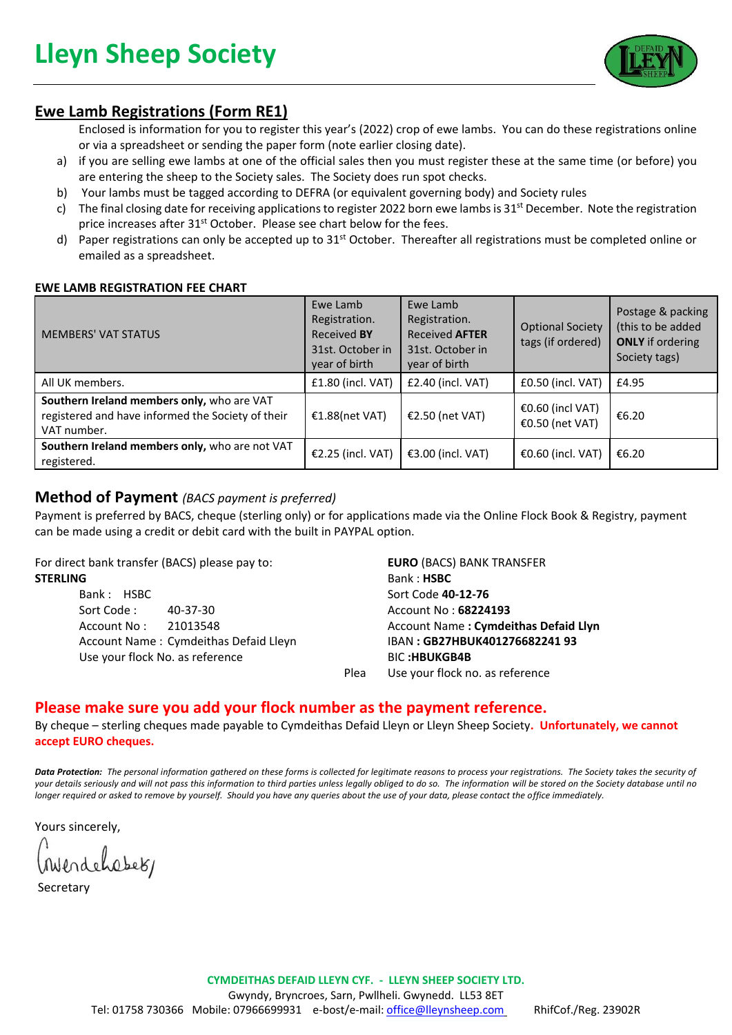

# **Ewe Lamb Registrations (Form RE1)**

Enclosed is information for you to register this year's (2022) crop of ewe lambs. You can do these registrations online or via a spreadsheet or sending the paper form (note earlier closing date).

- a) if you are selling ewe lambs at one of the official sales then you must register these at the same time (or before) you are entering the sheep to the Society sales. The Society does run spot checks.
- b) Your lambs must be tagged according to DEFRA (or equivalent governing body) and Society rules
- c) The final closing date for receiving applications to register 2022 born ewe lambs is  $31^{st}$  December. Note the registration price increases after 31<sup>st</sup> October. Please see chart below for the fees.
- d) Paper registrations can only be accepted up to 31<sup>st</sup> October. Thereafter all registrations must be completed online or emailed as a spreadsheet.

### **EWE LAMB REGISTRATION FEE CHART**

| <b>MEMBERS' VAT STATUS</b>                                                                                     | Ewe Lamb<br>Registration.<br><b>Received BY</b><br>31st. October in<br>year of birth | Ewe Lamb<br>Registration.<br><b>Received AFTER</b><br>31st. October in<br>year of birth | <b>Optional Society</b><br>tags (if ordered) | Postage & packing<br>(this to be added<br><b>ONLY</b> if ordering<br>Society tags) |
|----------------------------------------------------------------------------------------------------------------|--------------------------------------------------------------------------------------|-----------------------------------------------------------------------------------------|----------------------------------------------|------------------------------------------------------------------------------------|
| All UK members.                                                                                                | £1.80 (incl. VAT)                                                                    | $£2.40$ (incl. VAT)                                                                     | £0.50 (incl. VAT)                            | £4.95                                                                              |
| Southern Ireland members only, who are VAT<br>registered and have informed the Society of their<br>VAT number. | €1.88(net VAT)                                                                       | €2.50 (net VAT)                                                                         | €0.60 (incl VAT)<br>€0.50 (net VAT)          | €6.20                                                                              |
| Southern Ireland members only, who are not VAT<br>registered.                                                  | €2.25 (incl. VAT)                                                                    | €3.00 (incl. VAT)                                                                       | €0.60 (incl. VAT)                            | €6.20                                                                              |

### **Method of Payment** *(BACS payment is preferred)*

Payment is preferred by BACS, cheque (sterling only) or for applications made via the Online Flock Book & Registry, payment can be made using a credit or debit card with the built in PAYPAL option.

For direct bank transfer (BACS) please pay to:

### **STERLING**

Bank : HSBC Sort Code : 40-37-30 Account No : 21013548 Account Name : Cymdeithas Defaid Lleyn Use your flock No. as reference

**EURO** (BACS) BANK TRANSFER Bank : **HSBC** Sort Code **40-12-76** Account No : **68224193** Account Name **: Cymdeithas Defaid Llyn** IBAN **: GB27HBUK401276682241 93** BIC **:HBUKGB4B** Plea Use your flock no. as reference

# **Please make sure you add your flock number as the payment reference.**

By cheque – sterling cheques made payable to Cymdeithas Defaid Lleyn or Lleyn Sheep Society**. Unfortunately, we cannot accept EURO cheques.**

*Data Protection: The personal information gathered on these forms is collected for legitimate reasons to process your registrations. The Society takes the security of your details seriously and will not pass this information to third parties unless legally obliged to do so. The information will be stored on the Society database until no longer required or asked to remove by yourself. Should you have any queries about the use of your data, please contact the office immediately.* 

Yours sincerely,

Mendehabet,

**Secretary**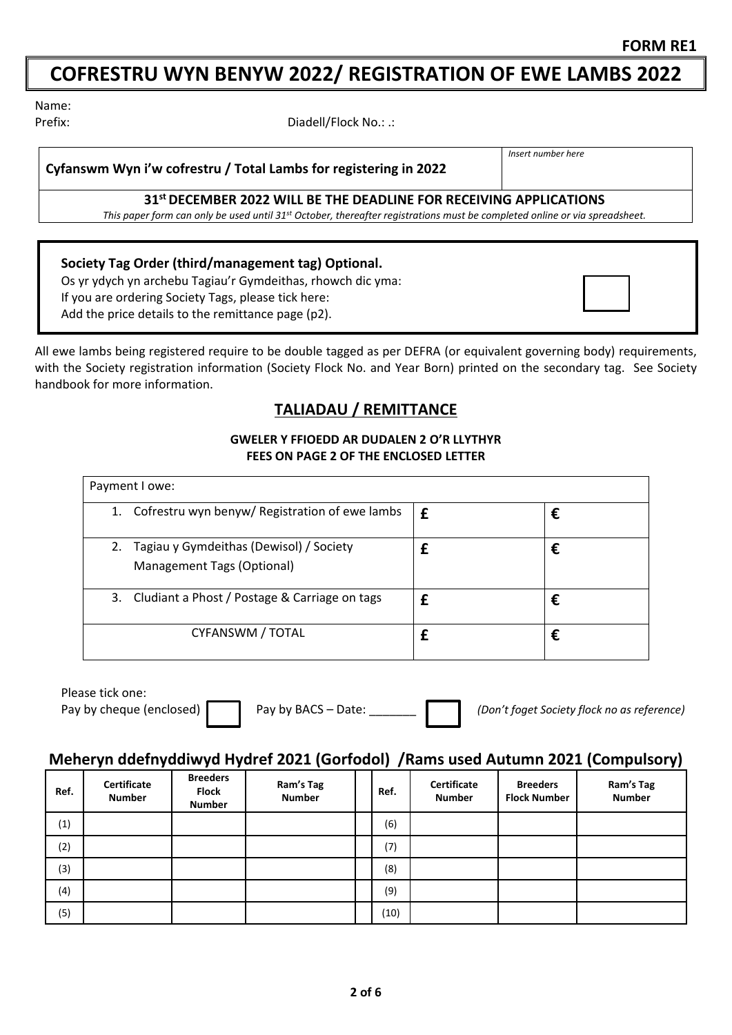# **COFRESTRU WYN BENYW 2022/ REGISTRATION OF EWE LAMBS 2022**

Name:

Prefix: Prefix: Prefix: Diadell/Flock No.: .:

**Cyfanswm Wyn i'w cofrestru / Total Lambs for registering in 2022**

*Insert number here*

### **31st DECEMBER 2022 WILL BE THE DEADLINE FOR RECEIVING APPLICATIONS**

*This paper form can only be used until 31st October, thereafter registrations must be completed online or via spreadsheet.*

**Society Tag Order (third/management tag) Optional.**

Os yr ydych yn archebu Tagiau'r Gymdeithas, rhowch dic yma: If you are ordering Society Tags, please tick here: Add the price details to the remittance page (p2).

All ewe lambs being registered require to be double tagged as per DEFRA (or equivalent governing body) requirements, with the Society registration information (Society Flock No. and Year Born) printed on the secondary tag. See Society handbook for more information.

# **TALIADAU / REMITTANCE**

### **GWELER Y FFIOEDD AR DUDALEN 2 O'R LLYTHYR FEES ON PAGE 2 OF THE ENCLOSED LETTER**

| Payment I owe:                                                              |   |   |  |  |  |  |  |  |
|-----------------------------------------------------------------------------|---|---|--|--|--|--|--|--|
| 1. Cofrestru wyn benyw/ Registration of ewe lambs                           | £ | € |  |  |  |  |  |  |
| Tagiau y Gymdeithas (Dewisol) / Society<br>2.<br>Management Tags (Optional) |   | € |  |  |  |  |  |  |
| 3. Cludiant a Phost / Postage & Carriage on tags                            |   | € |  |  |  |  |  |  |
| CYFANSWM / TOTAL                                                            |   | € |  |  |  |  |  |  |

Please tick one:

Pay by cheque (enclosed) **Pay by BACS** – Date: *Dem't foget Society flock no as reference*)

### **Meheryn ddefnyddiwyd Hydref 2021 (Gorfodol) /Rams used Autumn 2021 (Compulsory)**

| Ref. | Certificate<br><b>Number</b> | <b>Breeders</b><br><b>Flock</b><br><b>Number</b> | Ram's Tag<br><b>Number</b> | Ref. | Certificate<br><b>Number</b> | <b>Breeders</b><br><b>Flock Number</b> | Ram's Tag<br><b>Number</b> |
|------|------------------------------|--------------------------------------------------|----------------------------|------|------------------------------|----------------------------------------|----------------------------|
| (1)  |                              |                                                  |                            | (6)  |                              |                                        |                            |
| (2)  |                              |                                                  |                            | (7)  |                              |                                        |                            |
| (3)  |                              |                                                  |                            | (8)  |                              |                                        |                            |
| (4)  |                              |                                                  |                            | (9)  |                              |                                        |                            |
| (5)  |                              |                                                  |                            | (10) |                              |                                        |                            |